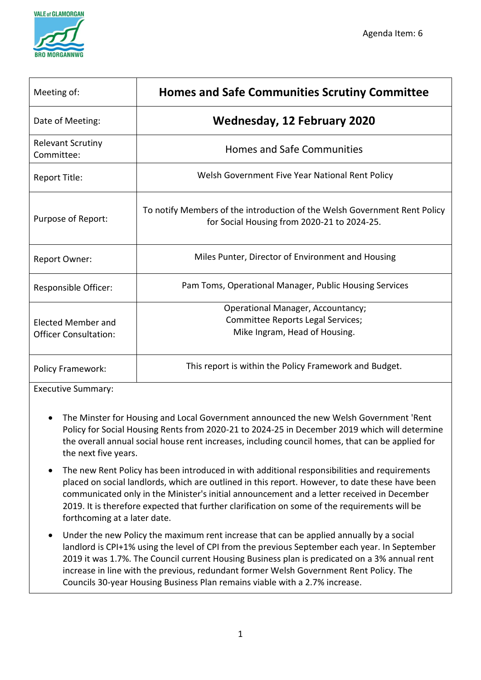

| Meeting of:                                        | <b>Homes and Safe Communities Scrutiny Committee</b>                                                                     |
|----------------------------------------------------|--------------------------------------------------------------------------------------------------------------------------|
| Date of Meeting:                                   | <b>Wednesday, 12 February 2020</b>                                                                                       |
| <b>Relevant Scrutiny</b><br>Committee:             | <b>Homes and Safe Communities</b>                                                                                        |
| Report Title:                                      | Welsh Government Five Year National Rent Policy                                                                          |
| Purpose of Report:                                 | To notify Members of the introduction of the Welsh Government Rent Policy<br>for Social Housing from 2020-21 to 2024-25. |
| <b>Report Owner:</b>                               | Miles Punter, Director of Environment and Housing                                                                        |
| Responsible Officer:                               | Pam Toms, Operational Manager, Public Housing Services                                                                   |
| Elected Member and<br><b>Officer Consultation:</b> | <b>Operational Manager, Accountancy;</b><br>Committee Reports Legal Services;<br>Mike Ingram, Head of Housing.           |
| <b>Policy Framework:</b>                           | This report is within the Policy Framework and Budget.                                                                   |

Executive Summary:

- The Minster for Housing and Local Government announced the new Welsh Government 'Rent Policy for Social Housing Rents from 2020-21 to 2024-25 in December 2019 which will determine the overall annual social house rent increases, including council homes, that can be applied for the next five years.
- The new Rent Policy has been introduced in with additional responsibilities and requirements placed on social landlords, which are outlined in this report. However, to date these have been communicated only in the Minister's initial announcement and a letter received in December 2019. It is therefore expected that further clarification on some of the requirements will be forthcoming at a later date.
- Under the new Policy the maximum rent increase that can be applied annually by a social landlord is CPI+1% using the level of CPI from the previous September each year. In September 2019 it was 1.7%. The Council current Housing Business plan is predicated on a 3% annual rent increase in line with the previous, redundant former Welsh Government Rent Policy. The Councils 30-year Housing Business Plan remains viable with a 2.7% increase.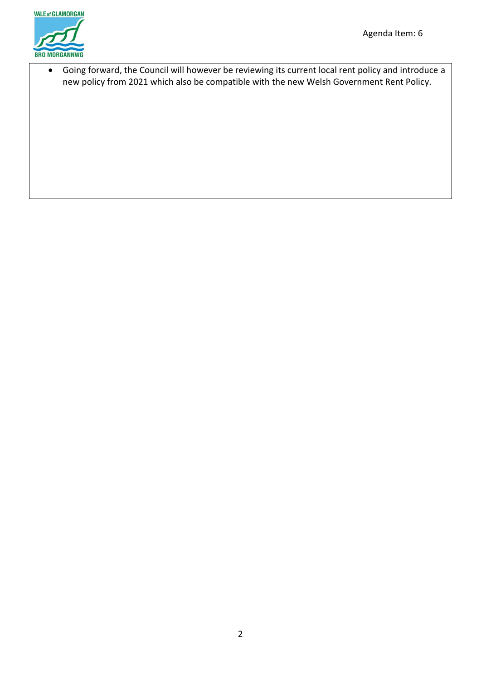

• Going forward, the Council will however be reviewing its current local rent policy and introduce a new policy from 2021 which also be compatible with the new Welsh Government Rent Policy.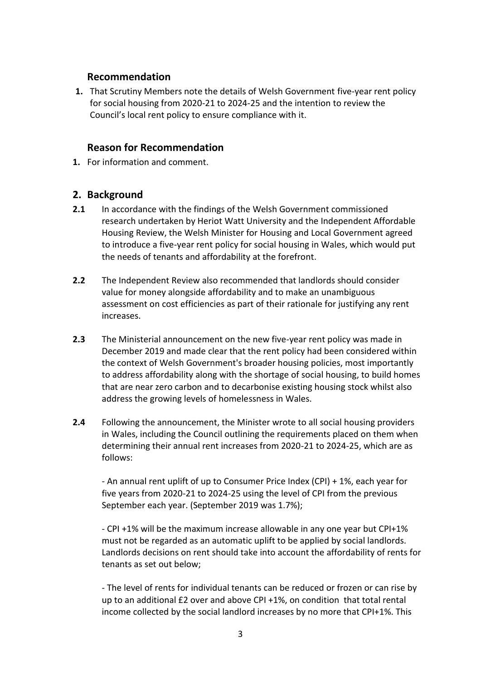### **Recommendation**

**1.** That Scrutiny Members note the details of Welsh Government five-year rent policy for social housing from 2020-21 to 2024-25 and the intention to review the Council's local rent policy to ensure compliance with it.

# **Reason for Recommendation**

**1.** For information and comment.

# **2. Background**

- **2.1** In accordance with the findings of the Welsh Government commissioned research undertaken by Heriot Watt University and the Independent Affordable Housing Review, the Welsh Minister for Housing and Local Government agreed to introduce a five-year rent policy for social housing in Wales, which would put the needs of tenants and affordability at the forefront.
- **2.2** The Independent Review also recommended that landlords should consider value for money alongside affordability and to make an unambiguous assessment on cost efficiencies as part of their rationale for justifying any rent increases.
- **2.3** The Ministerial announcement on the new five-year rent policy was made in December 2019 and made clear that the rent policy had been considered within the context of Welsh Government's broader housing policies, most importantly to address affordability along with the shortage of social housing, to build homes that are near zero carbon and to decarbonise existing housing stock whilst also address the growing levels of homelessness in Wales.
- **2.4** Following the announcement, the Minister wrote to all social housing providers in Wales, including the Council outlining the requirements placed on them when determining their annual rent increases from 2020-21 to 2024-25, which are as follows:

- An annual rent uplift of up to Consumer Price Index (CPI) + 1%, each year for five years from 2020-21 to 2024-25 using the level of CPI from the previous September each year. (September 2019 was 1.7%);

- CPI +1% will be the maximum increase allowable in any one year but CPI+1% must not be regarded as an automatic uplift to be applied by social landlords. Landlords decisions on rent should take into account the affordability of rents for tenants as set out below;

- The level of rents for individual tenants can be reduced or frozen or can rise by up to an additional £2 over and above CPI +1%, on condition that total rental income collected by the social landlord increases by no more that CPI+1%. This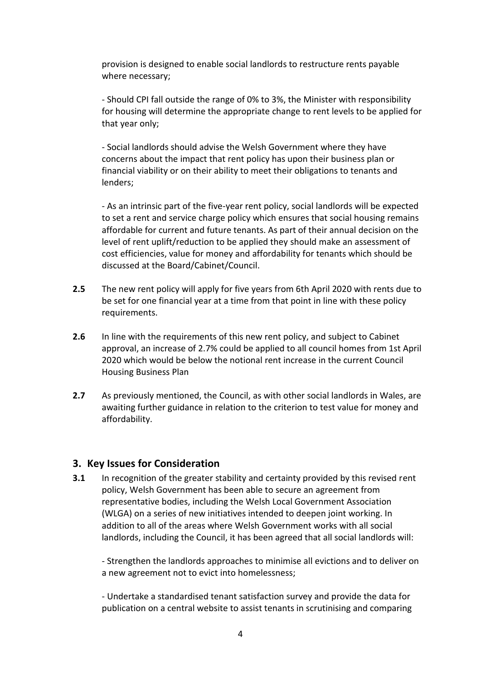provision is designed to enable social landlords to restructure rents payable where necessary;

- Should CPI fall outside the range of 0% to 3%, the Minister with responsibility for housing will determine the appropriate change to rent levels to be applied for that year only;

- Social landlords should advise the Welsh Government where they have concerns about the impact that rent policy has upon their business plan or financial viability or on their ability to meet their obligations to tenants and lenders;

- As an intrinsic part of the five-year rent policy, social landlords will be expected to set a rent and service charge policy which ensures that social housing remains affordable for current and future tenants. As part of their annual decision on the level of rent uplift/reduction to be applied they should make an assessment of cost efficiencies, value for money and affordability for tenants which should be discussed at the Board/Cabinet/Council.

- **2.5** The new rent policy will apply for five years from 6th April 2020 with rents due to be set for one financial year at a time from that point in line with these policy requirements.
- **2.6** In line with the requirements of this new rent policy, and subject to Cabinet approval, an increase of 2.7% could be applied to all council homes from 1st April 2020 which would be below the notional rent increase in the current Council Housing Business Plan
- **2.7** As previously mentioned, the Council, as with other social landlords in Wales, are awaiting further guidance in relation to the criterion to test value for money and affordability.

#### **3. Key Issues for Consideration**

**3.1** In recognition of the greater stability and certainty provided by this revised rent policy, Welsh Government has been able to secure an agreement from representative bodies, including the Welsh Local Government Association (WLGA) on a series of new initiatives intended to deepen joint working. In addition to all of the areas where Welsh Government works with all social landlords, including the Council, it has been agreed that all social landlords will:

- Strengthen the landlords approaches to minimise all evictions and to deliver on a new agreement not to evict into homelessness;

- Undertake a standardised tenant satisfaction survey and provide the data for publication on a central website to assist tenants in scrutinising and comparing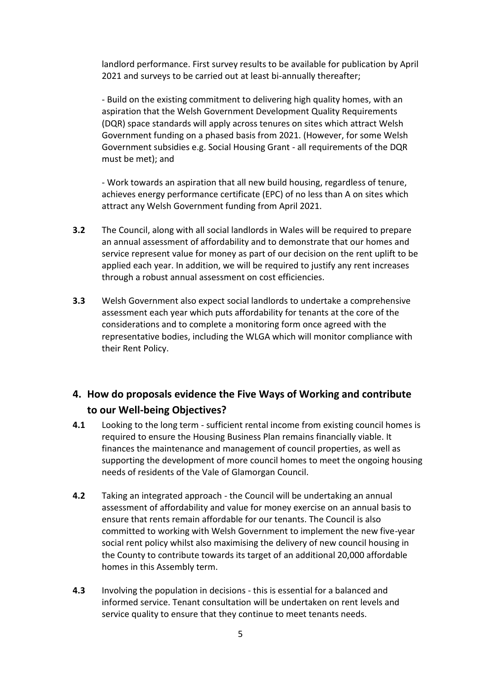landlord performance. First survey results to be available for publication by April 2021 and surveys to be carried out at least bi-annually thereafter;

- Build on the existing commitment to delivering high quality homes, with an aspiration that the Welsh Government Development Quality Requirements (DQR) space standards will apply across tenures on sites which attract Welsh Government funding on a phased basis from 2021. (However, for some Welsh Government subsidies e.g. Social Housing Grant - all requirements of the DQR must be met); and

- Work towards an aspiration that all new build housing, regardless of tenure, achieves energy performance certificate (EPC) of no less than A on sites which attract any Welsh Government funding from April 2021.

- **3.2** The Council, along with all social landlords in Wales will be required to prepare an annual assessment of affordability and to demonstrate that our homes and service represent value for money as part of our decision on the rent uplift to be applied each year. In addition, we will be required to justify any rent increases through a robust annual assessment on cost efficiencies.
- **3.3** Welsh Government also expect social landlords to undertake a comprehensive assessment each year which puts affordability for tenants at the core of the considerations and to complete a monitoring form once agreed with the representative bodies, including the WLGA which will monitor compliance with their Rent Policy.

# **4. How do proposals evidence the Five Ways of Working and contribute to our Well-being Objectives?**

- **4.1** Looking to the long term sufficient rental income from existing council homes is required to ensure the Housing Business Plan remains financially viable. It finances the maintenance and management of council properties, as well as supporting the development of more council homes to meet the ongoing housing needs of residents of the Vale of Glamorgan Council.
- **4.2** Taking an integrated approach the Council will be undertaking an annual assessment of affordability and value for money exercise on an annual basis to ensure that rents remain affordable for our tenants. The Council is also committed to working with Welsh Government to implement the new five-year social rent policy whilst also maximising the delivery of new council housing in the County to contribute towards its target of an additional 20,000 affordable homes in this Assembly term.
- **4.3** Involving the population in decisions this is essential for a balanced and informed service. Tenant consultation will be undertaken on rent levels and service quality to ensure that they continue to meet tenants needs.